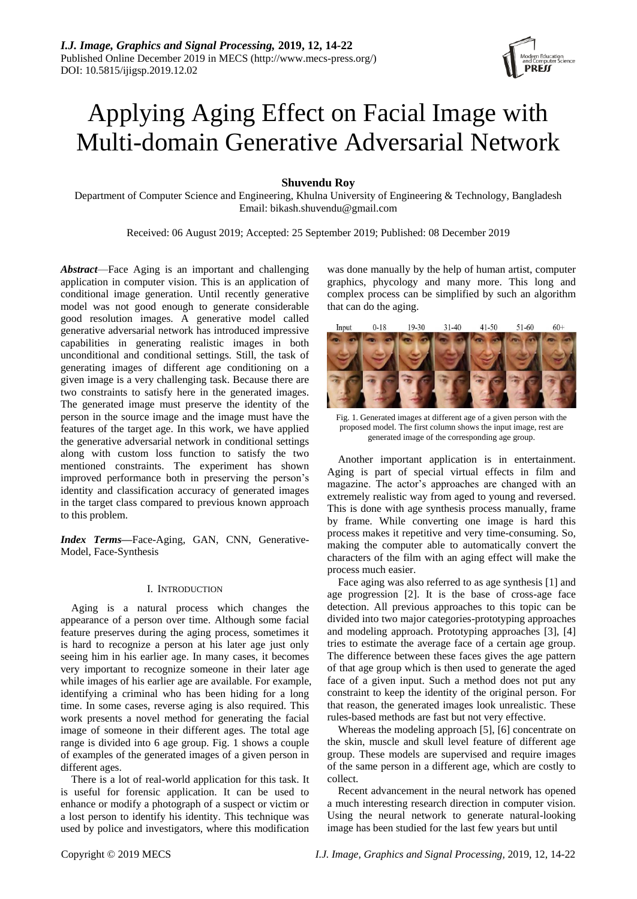# Applying Aging Effect on Facial Image with Multi-domain Generative Adversarial Network

# **Shuvendu Roy**

Department of Computer Science and Engineering, Khulna University of Engineering & Technology, Bangladesh Email: bikash.shuvendu@gmail.com

Received: 06 August 2019; Accepted: 25 September 2019; Published: 08 December 2019

*Abstract*—Face Aging is an important and challenging application in computer vision. This is an application of conditional image generation. Until recently generative model was not good enough to generate considerable good resolution images. A generative model called generative adversarial network has introduced impressive capabilities in generating realistic images in both unconditional and conditional settings. Still, the task of generating images of different age conditioning on a given image is a very challenging task. Because there are two constraints to satisfy here in the generated images. The generated image must preserve the identity of the person in the source image and the image must have the features of the target age. In this work, we have applied the generative adversarial network in conditional settings along with custom loss function to satisfy the two mentioned constraints. The experiment has shown improved performance both in preserving the person's identity and classification accuracy of generated images in the target class compared to previous known approach to this problem.

*Index Terms***—**Face-Aging, GAN, CNN, Generative-Model, Face-Synthesis

# I. INTRODUCTION

Aging is a natural process which changes the appearance of a person over time. Although some facial feature preserves during the aging process, sometimes it is hard to recognize a person at his later age just only seeing him in his earlier age. In many cases, it becomes very important to recognize someone in their later age while images of his earlier age are available. For example, identifying a criminal who has been hiding for a long time. In some cases, reverse aging is also required. This work presents a novel method for generating the facial image of someone in their different ages. The total age range is divided into 6 age group. Fig. 1 shows a couple of examples of the generated images of a given person in different ages.

There is a lot of real-world application for this task. It is useful for forensic application. It can be used to enhance or modify a photograph of a suspect or victim or a lost person to identify his identity. This technique was used by police and investigators, where this modification was done manually by the help of human artist, computer graphics, phycology and many more. This long and complex process can be simplified by such an algorithm that can do the aging.



Fig. 1. Generated images at different age of a given person with the proposed model. The first column shows the input image, rest are generated image of the corresponding age group.

Another important application is in entertainment. Aging is part of special virtual effects in film and magazine. The actor's approaches are changed with an extremely realistic way from aged to young and reversed. This is done with age synthesis process manually, frame by frame. While converting one image is hard this process makes it repetitive and very time-consuming. So, making the computer able to automatically convert the characters of the film with an aging effect will make the process much easier.

Face aging was also referred to as age synthesis [1] and age progression [2]. It is the base of cross-age face detection. All previous approaches to this topic can be divided into two major categories-prototyping approaches and modeling approach. Prototyping approaches [3], [4] tries to estimate the average face of a certain age group. The difference between these faces gives the age pattern of that age group which is then used to generate the aged face of a given input. Such a method does not put any constraint to keep the identity of the original person. For that reason, the generated images look unrealistic. These rules-based methods are fast but not very effective.

Whereas the modeling approach [5], [6] concentrate on the skin, muscle and skull level feature of different age group. These models are supervised and require images of the same person in a different age, which are costly to collect.

Recent advancement in the neural network has opened a much interesting research direction in computer vision. Using the neural network to generate natural-looking image has been studied for the last few years but until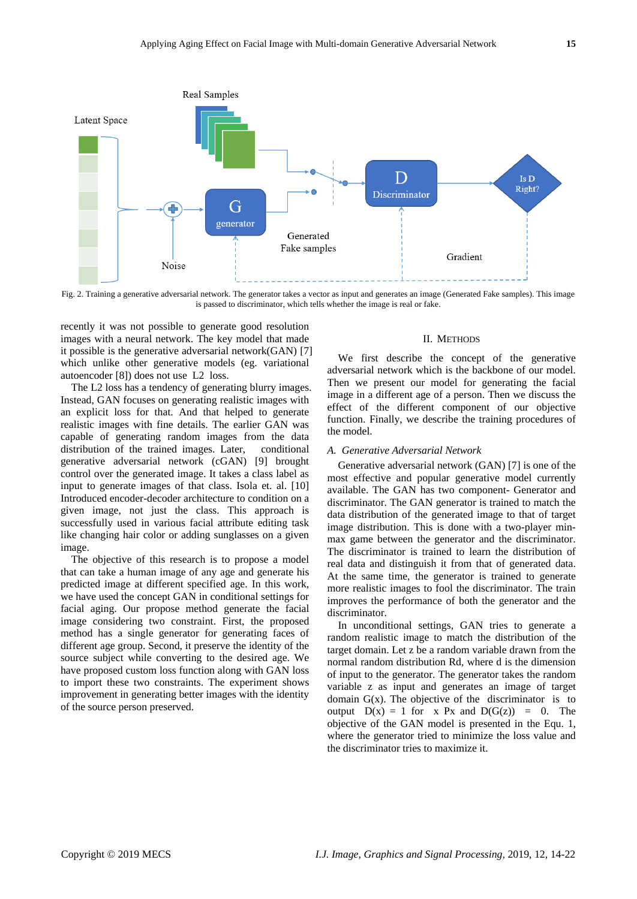

Fig. 2. Training a generative adversarial network. The generator takes a vector as input and generates an image (Generated Fake samples). This image is passed to discriminator, which tells whether the image is real or fake.

recently it was not possible to generate good resolution images with a neural network. The key model that made it possible is the generative adversarial network(GAN) [7] which unlike other generative models (eg. variational autoencoder [8]) does not use L2 loss.

The L2 loss has a tendency of generating blurry images. Instead, GAN focuses on generating realistic images with an explicit loss for that. And that helped to generate realistic images with fine details. The earlier GAN was capable of generating random images from the data distribution of the trained images. Later, conditional generative adversarial network (cGAN) [9] brought control over the generated image. It takes a class label as input to generate images of that class. Isola et. al. [10] Introduced encoder-decoder architecture to condition on a given image, not just the class. This approach is successfully used in various facial attribute editing task like changing hair color or adding sunglasses on a given image.

The objective of this research is to propose a model that can take a human image of any age and generate his predicted image at different specified age. In this work, we have used the concept GAN in conditional settings for facial aging. Our propose method generate the facial image considering two constraint. First, the proposed method has a single generator for generating faces of different age group. Second, it preserve the identity of the source subject while converting to the desired age. We have proposed custom loss function along with GAN loss to import these two constraints. The experiment shows improvement in generating better images with the identity of the source person preserved.

## II. METHODS

We first describe the concept of the generative adversarial network which is the backbone of our model. Then we present our model for generating the facial image in a different age of a person. Then we discuss the effect of the different component of our objective function. Finally, we describe the training procedures of the model.

## *A. Generative Adversarial Network*

Generative adversarial network (GAN) [7] is one of the most effective and popular generative model currently available. The GAN has two component- Generator and discriminator. The GAN generator is trained to match the data distribution of the generated image to that of target image distribution. This is done with a two-player minmax game between the generator and the discriminator. The discriminator is trained to learn the distribution of real data and distinguish it from that of generated data. At the same time, the generator is trained to generate more realistic images to fool the discriminator. The train improves the performance of both the generator and the discriminator.

In unconditional settings, GAN tries to generate a random realistic image to match the distribution of the target domain. Let z be a random variable drawn from the normal random distribution Rd, where d is the dimension of input to the generator. The generator takes the random variable z as input and generates an image of target domain  $G(x)$ . The objective of the discriminator is to output  $D(x) = 1$  for x Px and  $D(G(z)) = 0$ . The objective of the GAN model is presented in the Equ. 1, where the generator tried to minimize the loss value and the discriminator tries to maximize it.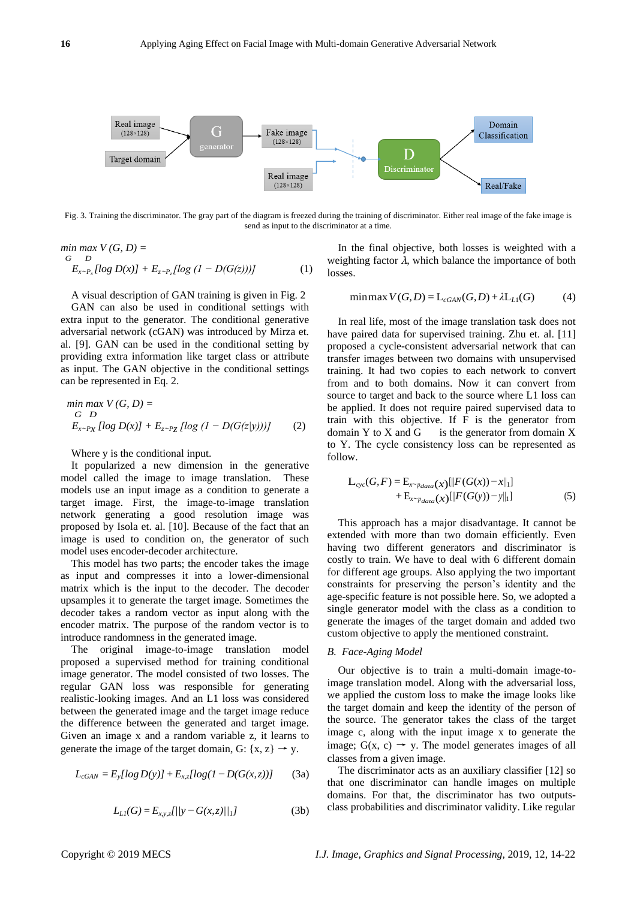

Fig. 3. Training the discriminator. The gray part of the diagram is freezed during the training of discriminator. Either real image of the fake image is send as input to the discriminator at a time.

$$
\begin{aligned}\n\min \max \limits_{G} V(G, D) &= \\
\frac{E}{2} \sum_{x \sim P_x} [\log D(x)] + E_{z \sim P_z} [\log (1 - D(G(z)))]\n\end{aligned} \tag{1}
$$

A visual description of GAN training is given in Fig. 2

GAN can also be used in conditional settings with extra input to the generator. The conditional generative adversarial network (cGAN) was introduced by Mirza et. al. [9]. GAN can be used in the conditional setting by providing extra information like target class or attribute as input. The GAN objective in the conditional settings can be represented in Eq. 2.

$$
\begin{aligned}\n\min \max V(G, D) &= \\
\frac{G}{D} & \sum E_{x \sim P_X} \left[ \log D(x) \right] + E_{z \sim P_Z} \left[ \log \left( 1 - D(G(z|y)) \right) \right] \tag{2}\n\end{aligned}
$$

Where y is the conditional input.

It popularized a new dimension in the generative model called the image to image translation. These models use an input image as a condition to generate a target image. First, the image-to-image translation network generating a good resolution image was proposed by Isola et. al. [10]. Because of the fact that an image is used to condition on, the generator of such model uses encoder-decoder architecture.

This model has two parts; the encoder takes the image as input and compresses it into a lower-dimensional matrix which is the input to the decoder. The decoder upsamples it to generate the target image. Sometimes the decoder takes a random vector as input along with the encoder matrix. The purpose of the random vector is to introduce randomness in the generated image.

The original image-to-image translation model proposed a supervised method for training conditional image generator. The model consisted of two losses. The regular GAN loss was responsible for generating realistic-looking images. And an L1 loss was considered between the generated image and the target image reduce the difference between the generated and target image. Given an image x and a random variable z, it learns to generate the image of the target domain, G:  $\{x, z\} \rightarrow y$ .

$$
L_{cGAN} = E_y [log D(y)] + E_{x,z} [log(1 - D(G(x,z)))] \tag{3a}
$$

$$
L_{LI}(G) = E_{x,y,z}I/|y - G(x,z)|/|1
$$
 (3b)

In the final objective, both losses is weighted with a weighting factor  $\lambda$ , which balance the importance of both losses.

$$
\min \max V(G, D) = L_{cGAN}(G, D) + \lambda L_{L1}(G) \tag{4}
$$

In real life, most of the image translation task does not have paired data for supervised training. Zhu et. al. [11] proposed a cycle-consistent adversarial network that can transfer images between two domains with unsupervised training. It had two copies to each network to convert from and to both domains. Now it can convert from source to target and back to the source where L1 loss can be applied. It does not require paired supervised data to train with this objective. If F is the generator from domain Y to X and G is the generator from domain X to Y. The cycle consistency loss can be represented as follow.

$$
L_{cyc}(G, F) = E_{x \sim p_{data}(x)}[||F(G(x)) - x||_1] + E_{x \sim p_{data}(x)}[||F(G(y)) - y||_1]
$$
\n(5)

This approach has a major disadvantage. It cannot be extended with more than two domain efficiently. Even having two different generators and discriminator is costly to train. We have to deal with 6 different domain for different age groups. Also applying the two important constraints for preserving the person's identity and the age-specific feature is not possible here. So, we adopted a single generator model with the class as a condition to generate the images of the target domain and added two custom objective to apply the mentioned constraint.

## *B. Face-Aging Model*

Our objective is to train a multi-domain image-toimage translation model. Along with the adversarial loss, we applied the custom loss to make the image looks like the target domain and keep the identity of the person of the source. The generator takes the class of the target image c, along with the input image x to generate the image;  $G(x, c) \rightarrow y$ . The model generates images of all classes from a given image.

The discriminator acts as an auxiliary classifier [12] so that one discriminator can handle images on multiple domains. For that, the discriminator has two outputsclass probabilities and discriminator validity. Like regular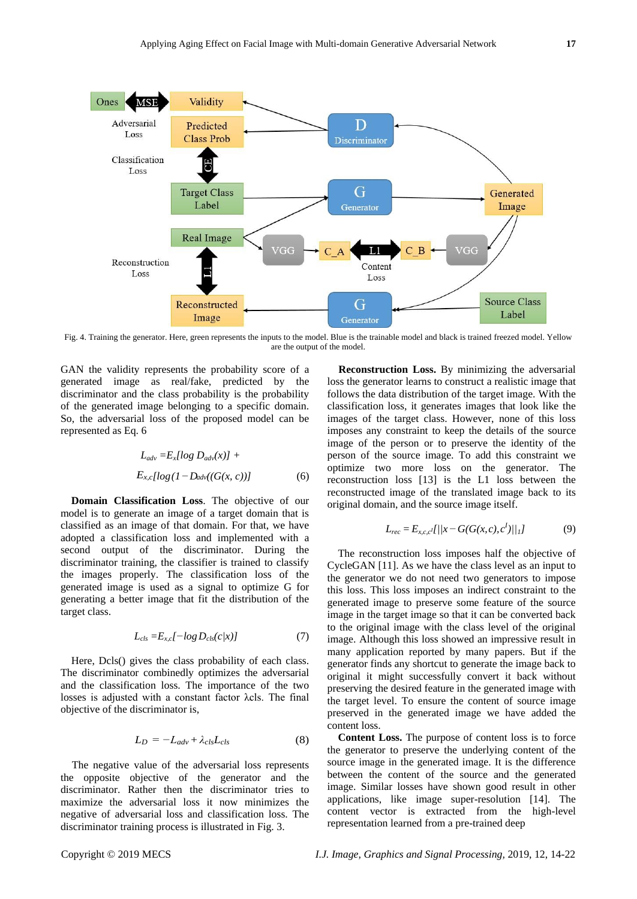

Fig. 4. Training the generator. Here, green represents the inputs to the model. Blue is the trainable model and black is trained freezed model. Yellow are the output of the model.

GAN the validity represents the probability score of a generated image as real/fake, predicted by the discriminator and the class probability is the probability of the generated image belonging to a specific domain. So, the adversarial loss of the proposed model can be represented as Eq. 6

$$
L_{adv} = E_x [log D_{adv}(x)] +
$$
  
\n
$$
E_{x, c} [log (1 - D_{adv}((G(x, c)))]
$$
 (6)

**Domain Classification Loss**. The objective of our model is to generate an image of a target domain that is classified as an image of that domain. For that, we have adopted a classification loss and implemented with a second output of the discriminator. During the discriminator training, the classifier is trained to classify the images properly. The classification loss of the generated image is used as a signal to optimize G for generating a better image that fit the distribution of the target class.

$$
L_{cls} = E_{x, cl} - log D_{cls}(c/x)
$$
 (7)

Here, Dcls() gives the class probability of each class. The discriminator combinedly optimizes the adversarial and the classification loss. The importance of the two losses is adjusted with a constant factor λcls. The final objective of the discriminator is,

$$
L_D = -L_{adv} + \lambda_{cls} L_{cls}
$$
 (8)

The negative value of the adversarial loss represents the opposite objective of the generator and the discriminator. Rather then the discriminator tries to maximize the adversarial loss it now minimizes the negative of adversarial loss and classification loss. The discriminator training process is illustrated in Fig. 3.

**Reconstruction Loss.** By minimizing the adversarial loss the generator learns to construct a realistic image that follows the data distribution of the target image. With the classification loss, it generates images that look like the images of the target class. However, none of this loss imposes any constraint to keep the details of the source image of the person or to preserve the identity of the person of the source image. To add this constraint we optimize two more loss on the generator. The reconstruction loss [13] is the L1 loss between the reconstructed image of the translated image back to its original domain, and the source image itself.

$$
L_{rec} = E_{x,c,c}I[/\!/\!x - G(G(x,c),c^I)/\!/\!/\!]
$$
 (9)

The reconstruction loss imposes half the objective of CycleGAN [11]. As we have the class level as an input to the generator we do not need two generators to impose this loss. This loss imposes an indirect constraint to the generated image to preserve some feature of the source image in the target image so that it can be converted back to the original image with the class level of the original image. Although this loss showed an impressive result in many application reported by many papers. But if the generator finds any shortcut to generate the image back to original it might successfully convert it back without preserving the desired feature in the generated image with the target level. To ensure the content of source image preserved in the generated image we have added the content loss.

**Content Loss.** The purpose of content loss is to force the generator to preserve the underlying content of the source image in the generated image. It is the difference between the content of the source and the generated image. Similar losses have shown good result in other applications, like image super-resolution [14]. The content vector is extracted from the high-level representation learned from a pre-trained deep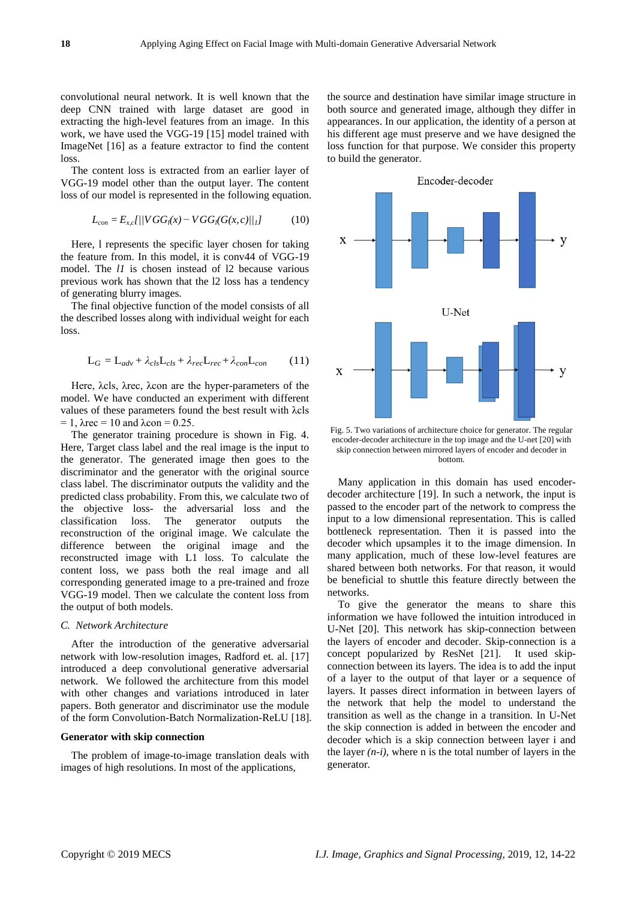convolutional neural network. It is well known that the deep CNN trained with large dataset are good in extracting the high-level features from an image. In this work, we have used the VGG-19 [15] model trained with ImageNet [16] as a feature extractor to find the content loss.

The content loss is extracted from an earlier layer of VGG-19 model other than the output layer. The content loss of our model is represented in the following equation.

$$
L_{con} = E_{x,cl} / |VGG_{l}(x) - VGG_{l}(G(x, c))|_{1}] \tag{10}
$$

Here, l represents the specific layer chosen for taking the feature from. In this model, it is conv44 of VGG-19 model. The *l1* is chosen instead of l2 because various previous work has shown that the l2 loss has a tendency of generating blurry images.

The final objective function of the model consists of all the described losses along with individual weight for each loss.

$$
L_G = L_{adv} + \lambda_{cls} L_{cls} + \lambda_{rec} L_{rec} + \lambda_{con} L_{con}
$$
 (11)

Here, λcls, λrec, λcon are the hyper-parameters of the model. We have conducted an experiment with different values of these parameters found the best result with λcls  $= 1$ ,  $\lambda$ rec  $= 10$  and  $\lambda$ con  $= 0.25$ .

The generator training procedure is shown in Fig. 4. Here, Target class label and the real image is the input to the generator. The generated image then goes to the discriminator and the generator with the original source class label. The discriminator outputs the validity and the predicted class probability. From this, we calculate two of the objective loss- the adversarial loss and the classification loss. The generator outputs the reconstruction of the original image. We calculate the difference between the original image and the reconstructed image with L1 loss. To calculate the content loss, we pass both the real image and all corresponding generated image to a pre-trained and froze VGG-19 model. Then we calculate the content loss from the output of both models.

## *C. Network Architecture*

After the introduction of the generative adversarial network with low-resolution images, Radford et. al. [17] introduced a deep convolutional generative adversarial network. We followed the architecture from this model with other changes and variations introduced in later papers. Both generator and discriminator use the module of the form Convolution-Batch Normalization-ReLU [18].

# **Generator with skip connection**

The problem of image-to-image translation deals with images of high resolutions. In most of the applications,

the source and destination have similar image structure in both source and generated image, although they differ in appearances. In our application, the identity of a person at his different age must preserve and we have designed the loss function for that purpose. We consider this property to build the generator.



Fig. 5. Two variations of architecture choice for generator. The regular encoder-decoder architecture in the top image and the U-net [20] with skip connection between mirrored layers of encoder and decoder in bottom.

Many application in this domain has used encoderdecoder architecture [19]. In such a network, the input is passed to the encoder part of the network to compress the input to a low dimensional representation. This is called bottleneck representation. Then it is passed into the decoder which upsamples it to the image dimension. In many application, much of these low-level features are shared between both networks. For that reason, it would be beneficial to shuttle this feature directly between the networks.

To give the generator the means to share this information we have followed the intuition introduced in U-Net [20]. This network has skip-connection between the layers of encoder and decoder. Skip-connection is a concept popularized by ResNet [21]. It used skipconnection between its layers. The idea is to add the input of a layer to the output of that layer or a sequence of layers. It passes direct information in between layers of the network that help the model to understand the transition as well as the change in a transition. In U-Net the skip connection is added in between the encoder and decoder which is a skip connection between layer i and the layer  $(n-i)$ , where n is the total number of layers in the generator.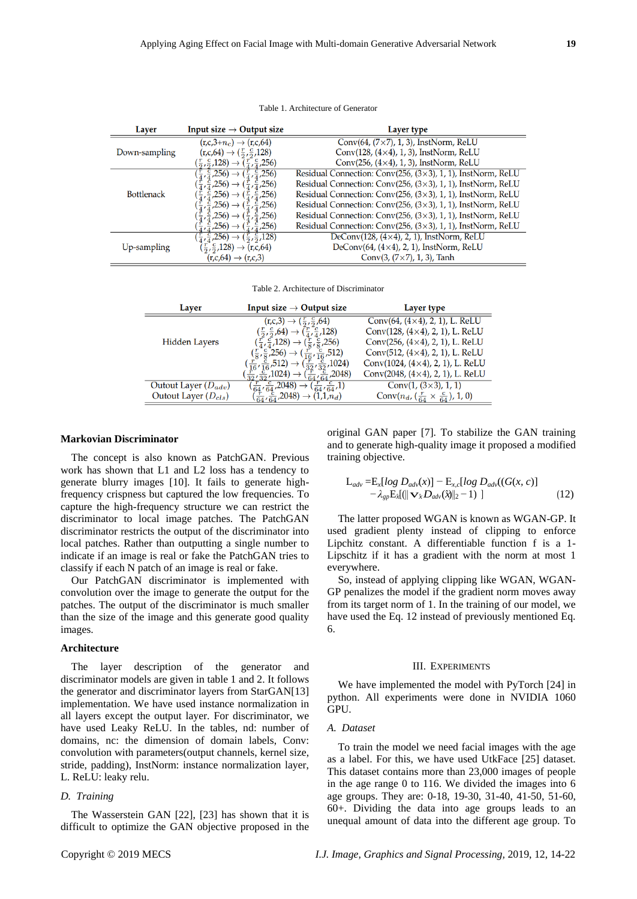#### Table 1. Architecture of Generator

| Layer             | Input size $\rightarrow$ Output size                                                                          | Layer type                                                           |
|-------------------|---------------------------------------------------------------------------------------------------------------|----------------------------------------------------------------------|
|                   | $(r, c, 3+n_c) \rightarrow (r, c, 64)$                                                                        | Conv $(64, (7\times7), 1, 3)$ , InstNorm, ReLU                       |
| Down-sampling     | $(r, c, 64) \rightarrow (\frac{r}{2}, \frac{c}{2}, 128)$                                                      | Conv $(128, (4\times4), 1, 3)$ , InstNorm, ReLU                      |
|                   | $(\frac{r}{2}, \frac{c}{2}, 128) \rightarrow (\frac{r}{4}, \frac{c}{4}, 256)$                                 | Conv $(256, (4\times4), 1, 3)$ , InstNorm, ReLU                      |
|                   | $(\frac{r}{4}, \frac{c}{4}, 256) \rightarrow (\frac{r}{4}, \frac{c}{4}, 256)$                                 | Residual Connection: Conv $(256, (3\times3), 1, 1)$ , InstNorm, ReLU |
|                   | $(\frac{\tilde{r}}{4}, \frac{\tilde{c}}{4}, 256) \rightarrow (\frac{\tilde{r}}{4}, \frac{\tilde{c}}{4}, 256)$ | Residual Connection: Conv(256, (3×3), 1, 1), InstNorm, ReLU          |
| <b>Bottlenack</b> | $(\frac{r}{4}, \frac{c}{4}, 256) \rightarrow (\frac{r}{4}, \frac{c}{4}, 256)$                                 | Residual Connection: Conv(256, $(3\times3)$ , 1, 1), InstNorm, ReLU  |
|                   | $(\frac{r}{4}, \frac{c}{4}, 256) \rightarrow (\frac{r}{4}, \frac{c}{4}, 256)$                                 | Residual Connection: Conv $(256, (3\times3), 1, 1)$ , InstNorm, ReLU |
|                   | $(\frac{r}{4}, \frac{c}{4}, 256) \rightarrow (\frac{r}{4}, \frac{c}{4}, 256)$                                 | Residual Connection: Conv(256, $(3\times3)$ , 1, 1), InstNorm, ReLU  |
|                   | $(\frac{r}{4}, \frac{c}{4}, 256) \rightarrow (\frac{r}{4}, \frac{c}{4}, 256)$                                 | Residual Connection: Conv $(256, (3\times3), 1, 1)$ , InstNorm, ReLU |
|                   | $(\frac{r}{4}, \frac{c}{4}, 256) \rightarrow (\frac{r}{2}, \frac{c}{2}, 128)$                                 | DeConv $(128, (4\times4), 2, 1)$ , InstNorm, ReLU                    |
| Up-sampling       | $(\frac{r}{2}, \frac{c}{2}, 128) \rightarrow (r, c, 64)$                                                      | DeConv $(64, (4\times4), 2, 1)$ , InstNorm, ReLU                     |
|                   | $(r, c, 64) \rightarrow (r, c, 3)$                                                                            | Conv $(3, (7 \times 7), 1, 3)$ , Tanh                                |

Table 2. Architecture of Discriminator

| Layer                    | Input size $\rightarrow$ Output size                                                                                                  | Layer type                                             |
|--------------------------|---------------------------------------------------------------------------------------------------------------------------------------|--------------------------------------------------------|
|                          | $(r, c, 3) \rightarrow (\frac{r}{2}, \frac{c}{2}, 64)$                                                                                | Conv $(64, (4 \times 4), 2, 1)$ , L. ReLU              |
|                          | $(\frac{r}{2}, \frac{c}{2}, 64) \rightarrow (\frac{r}{4}, \frac{c}{4}, 128)$                                                          | Conv $(128, (4\times4), 2, 1)$ , L. ReLU               |
| <b>Hidden Layers</b>     | $(\frac{r}{4}, \frac{c}{4}, 128) \rightarrow (\frac{r}{8}, \frac{c}{8}, 256)$                                                         | Conv $(256, (4\times4), 2, 1)$ , L. ReLU               |
|                          | $(\frac{r}{8}, \frac{c}{8}, 256) \rightarrow (\frac{r}{16}, \frac{c}{16}, 512)$                                                       | Conv $(512, (4\times4), 2, 1)$ , L. ReLU               |
|                          | $\left(\frac{r}{16}, \frac{c}{16}, 512\right) \rightarrow \left(\frac{r}{32}, \frac{c}{32}, 1024\right)$                              | Conv(1024, (4×4), 2, 1), L. ReLU                       |
|                          | $\left(\frac{\tilde{r}}{32},\frac{\tilde{c}}{32},1024\right) \rightarrow \left(\frac{\tilde{r}}{64},\frac{\tilde{c}}{64},2048\right)$ | Conv $(2048, (4\times4), 2, 1)$ , L. ReLU              |
| Outout Layer $(D_{adv})$ | $\left(\frac{r}{64}, \frac{c}{64}, 2048\right) \rightarrow \left(\frac{r}{64}, \frac{c}{64}, 1\right)$                                | Conv $(1, (3\times3), 1, 1)$                           |
| Outout Layer $(D_{cls})$ | $(\frac{r}{64}, \frac{c}{64}, 2048) \rightarrow (1, 1, n_d)$                                                                          | Conv $(n_d, (\frac{r}{64} \times \frac{c}{64}), 1, 0)$ |

## **Markovian Discriminator**

The concept is also known as PatchGAN. Previous work has shown that L1 and L2 loss has a tendency to generate blurry images [10]. It fails to generate highfrequency crispness but captured the low frequencies. To capture the high-frequency structure we can restrict the discriminator to local image patches. The PatchGAN discriminator restricts the output of the discriminator into local patches. Rather than outputting a single number to indicate if an image is real or fake the PatchGAN tries to classify if each N patch of an image is real or fake.

Our PatchGAN discriminator is implemented with convolution over the image to generate the output for the patches. The output of the discriminator is much smaller than the size of the image and this generate good quality images.

# **Architecture**

The layer description of the generator and discriminator models are given in table 1 and 2. It follows the generator and discriminator layers from StarGAN[13] implementation. We have used instance normalization in all layers except the output layer. For discriminator, we have used Leaky ReLU. In the tables, nd: number of domains, nc: the dimension of domain labels, Conv: convolution with parameters(output channels, kernel size, stride, padding), InstNorm: instance normalization layer, L. ReLU: leaky relu.

#### *D. Training*

The Wasserstein GAN [22], [23] has shown that it is difficult to optimize the GAN objective proposed in the original GAN paper [7]. To stabilize the GAN training and to generate high-quality image it proposed a modified training objective.

$$
L_{adv} = E_x [log D_{adv}(x)] - E_{x,c} [log D_{adv}((G(x, c)) - \lambda_{gp} E_x [|| \mathbf{v}_x D_{adv}(\hat{\mathbf{v}} ||_2 - 1)] \qquad (12)
$$

The latter proposed WGAN is known as WGAN-GP. It used gradient plenty instead of clipping to enforce Lipchitz constant. A differentiable function f is a 1- Lipschitz if it has a gradient with the norm at most 1 everywhere.

So, instead of applying clipping like WGAN, WGAN-GP penalizes the model if the gradient norm moves away from its target norm of 1. In the training of our model, we have used the Eq. 12 instead of previously mentioned Eq. 6.

#### III. EXPERIMENTS

We have implemented the model with PyTorch [24] in python. All experiments were done in NVIDIA 1060 GPU.

# *A. Dataset*

To train the model we need facial images with the age as a label. For this, we have used UtkFace [25] dataset. This dataset contains more than 23,000 images of people in the age range 0 to 116. We divided the images into 6 age groups. They are: 0-18, 19-30, 31-40, 41-50, 51-60, 60+. Dividing the data into age groups leads to an unequal amount of data into the different age group. To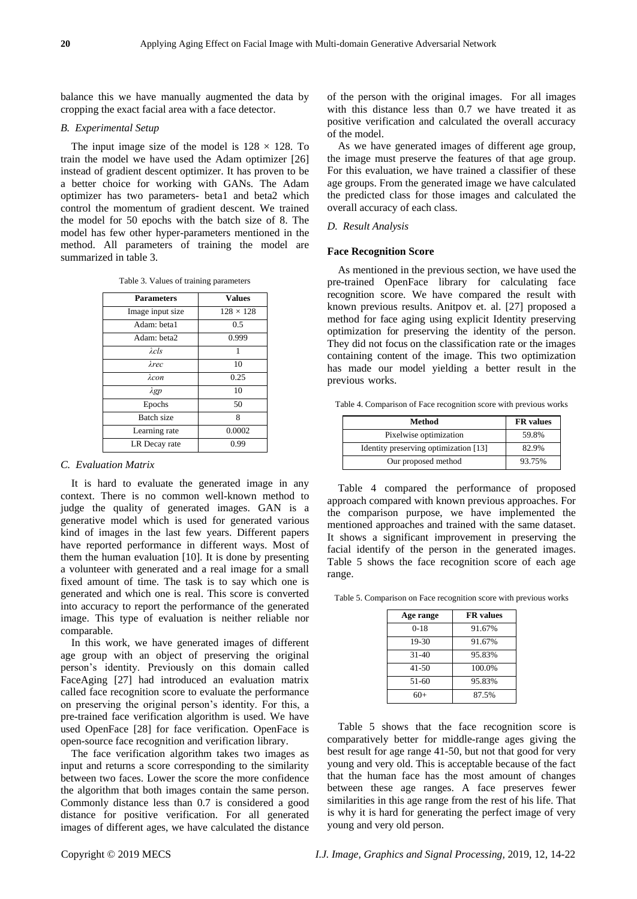balance this we have manually augmented the data by cropping the exact facial area with a face detector.

## *B. Experimental Setup*

The input image size of the model is  $128 \times 128$ . To train the model we have used the Adam optimizer [26] instead of gradient descent optimizer. It has proven to be a better choice for working with GANs. The Adam optimizer has two parameters- beta1 and beta2 which control the momentum of gradient descent. We trained the model for 50 epochs with the batch size of 8. The model has few other hyper-parameters mentioned in the method. All parameters of training the model are summarized in table 3.

| <b>Parameters</b> | <b>Values</b>    |
|-------------------|------------------|
| Image input size  | $128 \times 128$ |
| Adam: beta1       | 0.5              |
| Adam: beta2       | 0.999            |
| $\lambda$ cls     |                  |
| λrec              | 10               |
| λ $con$           | 0.25             |
| $\lambda gp$      | 10               |
| Epochs            | 50               |
| <b>Batch</b> size | 8                |
| Learning rate     | 0.0002           |
| LR Decay rate     | 0.99             |

# *C. Evaluation Matrix*

It is hard to evaluate the generated image in any context. There is no common well-known method to judge the quality of generated images. GAN is a generative model which is used for generated various kind of images in the last few years. Different papers have reported performance in different ways. Most of them the human evaluation [10]. It is done by presenting a volunteer with generated and a real image for a small fixed amount of time. The task is to say which one is generated and which one is real. This score is converted into accuracy to report the performance of the generated image. This type of evaluation is neither reliable nor comparable.

In this work, we have generated images of different age group with an object of preserving the original person's identity. Previously on this domain called FaceAging [27] had introduced an evaluation matrix called face recognition score to evaluate the performance on preserving the original person's identity. For this, a pre-trained face verification algorithm is used. We have used OpenFace [28] for face verification. OpenFace is open-source face recognition and verification library.

The face verification algorithm takes two images as input and returns a score corresponding to the similarity between two faces. Lower the score the more confidence the algorithm that both images contain the same person. Commonly distance less than 0.7 is considered a good distance for positive verification. For all generated images of different ages, we have calculated the distance of the person with the original images. For all images with this distance less than 0.7 we have treated it as positive verification and calculated the overall accuracy of the model.

As we have generated images of different age group, the image must preserve the features of that age group. For this evaluation, we have trained a classifier of these age groups. From the generated image we have calculated the predicted class for those images and calculated the overall accuracy of each class.

## *D. Result Analysis*

## **Face Recognition Score**

As mentioned in the previous section, we have used the pre-trained OpenFace library for calculating face recognition score. We have compared the result with known previous results. Anitpov et. al. [27] proposed a method for face aging using explicit Identity preserving optimization for preserving the identity of the person. They did not focus on the classification rate or the images containing content of the image. This two optimization has made our model yielding a better result in the previous works.

Table 4. Comparison of Face recognition score with previous works

| Method                                | <b>FR</b> values |  |
|---------------------------------------|------------------|--|
| Pixelwise optimization                | 59.8%            |  |
| Identity preserving optimization [13] | 82.9%            |  |
| Our proposed method                   | 93.75%           |  |

Table 4 compared the performance of proposed approach compared with known previous approaches. For the comparison purpose, we have implemented the mentioned approaches and trained with the same dataset. It shows a significant improvement in preserving the facial identify of the person in the generated images. Table 5 shows the face recognition score of each age range.

Table 5. Comparison on Face recognition score with previous works

| Age range | <b>FR</b> values |
|-----------|------------------|
| $0-18$    | 91.67%           |
| 19-30     | 91.67%           |
| $31 - 40$ | 95.83%           |
| $41 - 50$ | 100.0%           |
| 51-60     | 95.83%           |
| 60+       | 87.5%            |

Table 5 shows that the face recognition score is comparatively better for middle-range ages giving the best result for age range 41-50, but not that good for very young and very old. This is acceptable because of the fact that the human face has the most amount of changes between these age ranges. A face preserves fewer similarities in this age range from the rest of his life. That is why it is hard for generating the perfect image of very young and very old person.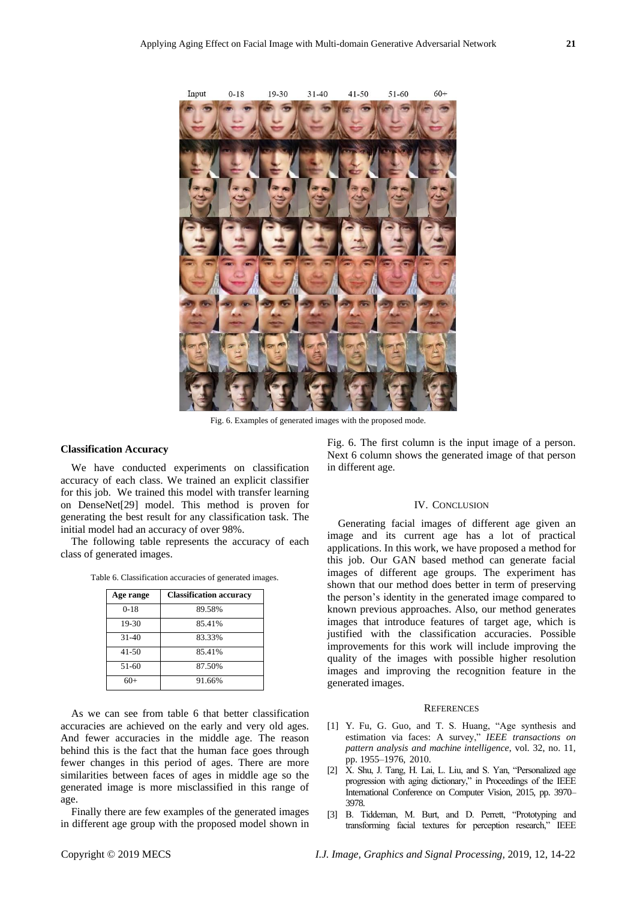

Fig. 6. Examples of generated images with the proposed mode.

# **Classification Accuracy**

We have conducted experiments on classification accuracy of each class. We trained an explicit classifier for this job. We trained this model with transfer learning on DenseNet[29] model. This method is proven for generating the best result for any classification task. The initial model had an accuracy of over 98%.

The following table represents the accuracy of each class of generated images.

|  |  |  | Table 6. Classification accuracies of generated images. |  |  |  |
|--|--|--|---------------------------------------------------------|--|--|--|
|--|--|--|---------------------------------------------------------|--|--|--|

| Age range | <b>Classification accuracy</b> |
|-----------|--------------------------------|
| $0-18$    | 89.58%                         |
| 19-30     | 85.41%                         |
| $31 - 40$ | 83.33%                         |
| $41 - 50$ | 85.41%                         |
| 51-60     | 87.50%                         |
| $60+$     | 91.66%                         |

As we can see from table 6 that better classification accuracies are achieved on the early and very old ages. And fewer accuracies in the middle age. The reason behind this is the fact that the human face goes through fewer changes in this period of ages. There are more similarities between faces of ages in middle age so the generated image is more misclassified in this range of age.

Finally there are few examples of the generated images in different age group with the proposed model shown in Fig. 6. The first column is the input image of a person. Next 6 column shows the generated image of that person in different age.

## IV. CONCLUSION

Generating facial images of different age given an image and its current age has a lot of practical applications. In this work, we have proposed a method for this job. Our GAN based method can generate facial images of different age groups. The experiment has shown that our method does better in term of preserving the person's identity in the generated image compared to known previous approaches. Also, our method generates images that introduce features of target age, which is justified with the classification accuracies. Possible improvements for this work will include improving the quality of the images with possible higher resolution images and improving the recognition feature in the generated images.

## **REFERENCES**

- [1] Y. Fu, G. Guo, and T. S. Huang, "Age synthesis and estimation via faces: A survey," *IEEE transactions on pattern analysis and machine intelligence*, vol. 32, no. 11, pp. 1955–1976, 2010.
- [2] X. Shu, J. Tang, H. Lai, L. Liu, and S. Yan, "Personalized age progression with aging dictionary," in Proceedings of the IEEE International Conference on Computer Vision, 2015, pp. 3970– 3978.
- [3] B. Tiddeman, M. Burt, and D. Perrett, "Prototyping and transforming facial textures for perception research," IEEE